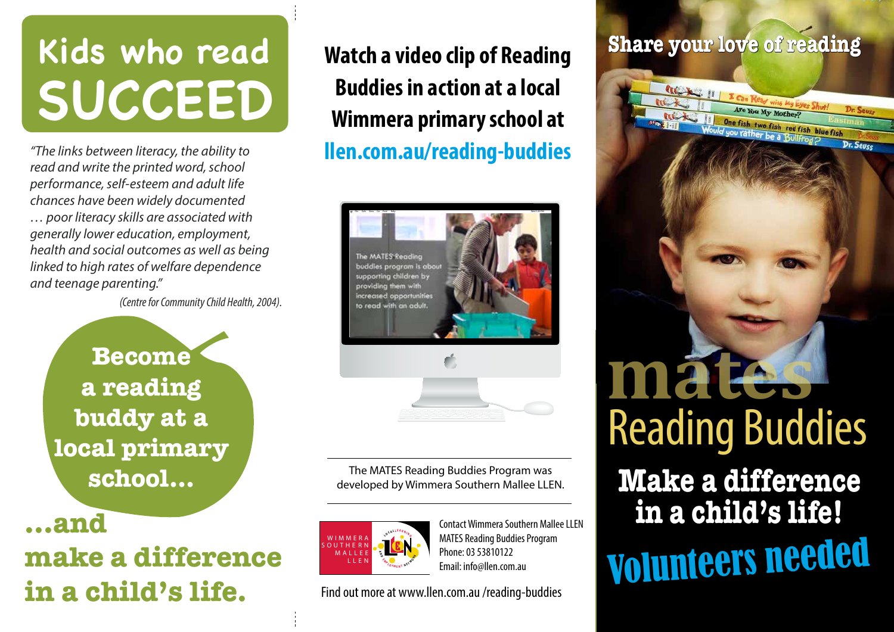## **Kids who read SUCCEED**

*"The links between literacy, the ability to* **llen.com.au/reading-buddies** *read and write the printed word, school performance, self-esteem and adult life chances have been widely documented … poor literacy skills are associated with generally lower education, employment, health and social outcomes as well as being linked to high rates of welfare dependence and teenage parenting."* 

*(Centre for Community Child Health, 2004).* 

**Become a reading buddy at a local primary school...**

**...and** 

### **make a difference in a child's life.**

**Watch a video clip of Reading Buddies in action at a local Wimmera primary school at** 



The MATES Reading Buddies Program was developed by Wimmera Southern Mallee LLEN.



Contact Wimmera Southern Mallee LLEN MATES Reading Buddies Program Phone: 03 53810122 Email: info@llen.com.au

Find out more at www.llen.com.au /reading-buddies

#### **Share your love of reading**

Are You My Mother? **East One fish two fish red fish blue fish**<br>Would you rather be a Bullfrog?

Dr. Seuss

116 K 11

Reading Buddies **mates**

**Make a difference in a child's life!** Volunteers needed